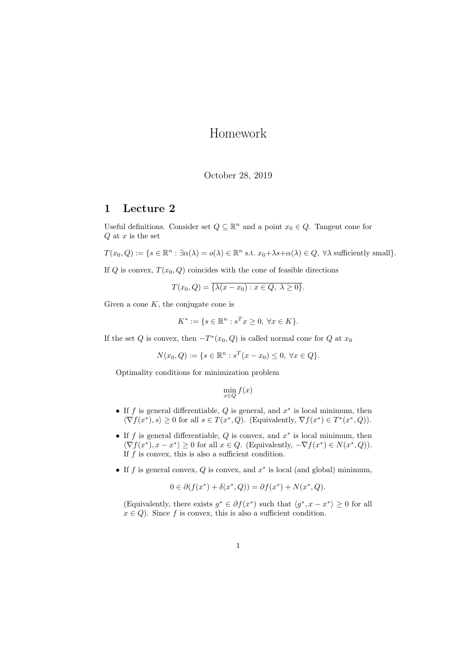## Homework

## October 28, 2019

## 1 Lecture 2

Useful definitions. Consider set  $Q \subseteq \mathbb{R}^n$  and a point  $x_0 \in Q$ . Tangent cone for  $Q$  at  $x$  is the set

$$
T(x_0, Q) := \{ s \in \mathbb{R}^n : \exists \alpha(\lambda) = o(\lambda) \in \mathbb{R}^n \text{ s.t. } x_0 + \lambda s + \alpha(\lambda) \in Q, \ \forall \lambda \text{ sufficiently small} \}.
$$

If Q is convex,  $T(x_0, Q)$  coincides with the cone of feasible directions

$$
T(x_0, Q) = \overline{\{\lambda(x - x_0) : x \in Q, \ \lambda \ge 0\}}.
$$

Given a cone  $K$ , the conjugate cone is

$$
K^* := \{ s \in \mathbb{R}^n : s^T x \ge 0, \ \forall x \in K \}.
$$

If the set Q is convex, then  $-T^*(x_0, Q)$  is called normal cone for Q at  $x_0$ 

$$
N(x_0, Q) := \{ s \in \mathbb{R}^n : s^T(x - x_0) \le 0, \ \forall x \in Q \}.
$$

Optimality conditions for minimization problem

 $\min_{x \in Q} f(x)$ 

- If f is general differentiable,  $Q$  is general, and  $x^*$  is local minimum, then  $\langle \nabla f(x^*), s \rangle \geq 0$  for all  $s \in T(x^*, Q)$ . (Equivalently,  $\nabla f(x^*) \in T^*(x^*, Q)$ ).
- If f is general differentiable,  $Q$  is convex, and  $x^*$  is local minimum, then  $\langle \nabla f(x^*), x - x^* \rangle \geq 0$  for all  $x \in Q$ . (Equivalently,  $-\nabla f(x^*) \in N(x^*, Q)$ ). If  $f$  is convex, this is also a sufficient condition.
- If f is general convex,  $Q$  is convex, and  $x^*$  is local (and global) minimum,

$$
0 \in \partial(f(x^*) + \delta(x^*, Q)) = \partial f(x^*) + N(x^*, Q).
$$

(Equivalently, there exists  $g^* \in \partial f(x^*)$  such that  $\langle g^*, x - x^* \rangle \geq 0$  for all  $x \in Q$ ). Since f is convex, this is also a sufficient condition.